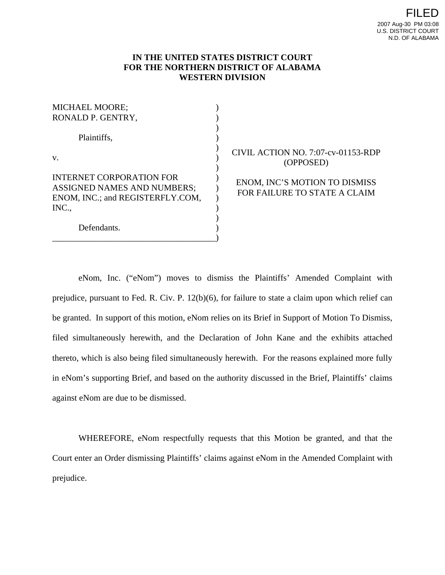## **IN THE UNITED STATES DISTRICT COURT FOR THE NORTHERN DISTRICT OF ALABAMA WESTERN DIVISION**

) ) ) ) ) ) ) ) ) ) ) ) ) )

| <b>MICHAEL MOORE;</b><br>RONALD P. GENTRY,                                                                         |
|--------------------------------------------------------------------------------------------------------------------|
| Plaintiffs,                                                                                                        |
| V.                                                                                                                 |
| <b>INTERNET CORPORATION FOR</b><br><b>ASSIGNED NAMES AND NUMBERS;</b><br>ENOM, INC.; and REGISTERFLY.COM,<br>INC., |
| Defendants.                                                                                                        |

\_\_\_\_\_\_\_\_\_\_\_\_\_\_\_\_\_\_\_\_\_\_\_\_\_\_\_\_\_\_\_\_\_\_\_\_\_\_

## CIVIL ACTION NO. 7:07-cv-01153-RDP (OPPOSED)

ENOM, INC'S MOTION TO DISMISS FOR FAILURE TO STATE A CLAIM

eNom, Inc. ("eNom") moves to dismiss the Plaintiffs' Amended Complaint with prejudice, pursuant to Fed. R. Civ. P. 12(b)(6), for failure to state a claim upon which relief can be granted. In support of this motion, eNom relies on its Brief in Support of Motion To Dismiss, filed simultaneously herewith, and the Declaration of John Kane and the exhibits attached thereto, which is also being filed simultaneously herewith. For the reasons explained more fully in eNom's supporting Brief, and based on the authority discussed in the Brief, Plaintiffs' claims against eNom are due to be dismissed.

WHEREFORE, eNom respectfully requests that this Motion be granted, and that the Court enter an Order dismissing Plaintiffs' claims against eNom in the Amended Complaint with prejudice.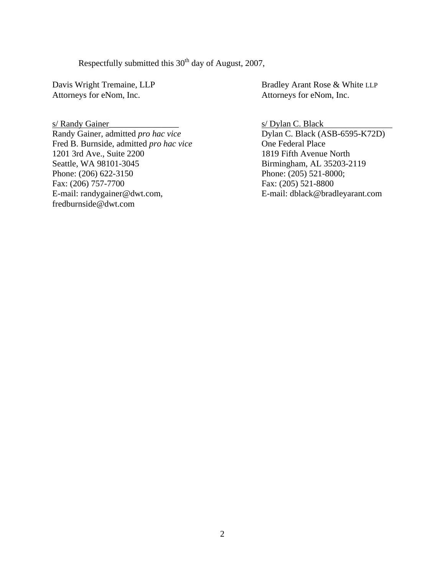Respectfully submitted this  $30<sup>th</sup>$  day of August, 2007,

Attorneys for eNom, Inc. Attorneys for eNom, Inc.

s/ Randy Gainer<br>
Randy Gainer, admitted *pro hac vice*<br>
Dylan C. Black (ASB-6595-K72D) Randy Gainer, admitted *pro hac vice* Fred B. Burnside, admitted *pro hac vice* One Federal Place 1201 3rd Ave., Suite 2200 1819 Fifth Avenue North Seattle, WA 98101-3045 Birmingham, AL 35203-2119 Phone: (206) 622-3150 Phone: (205) 521-8000; Fax: (206) 757-7700 Fax: (205) 521-8800 E-mail: randygainer@dwt.com, E-mail: dblack@bradleyarant.com fredburnside@dwt.com

Davis Wright Tremaine, LLP Bradley Arant Rose & White LLP